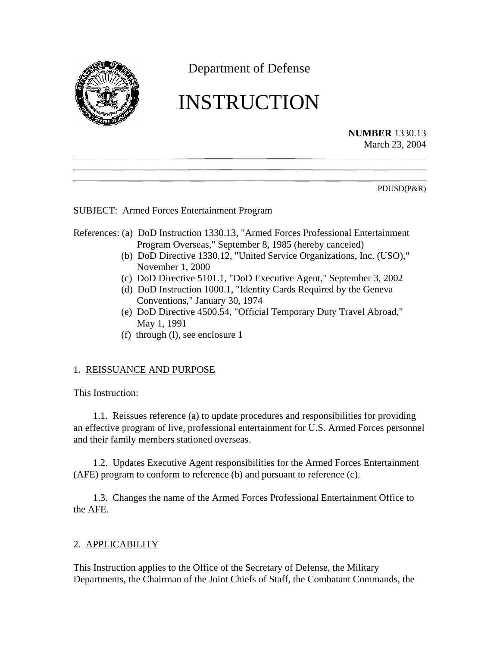

Department of Defense

# INSTRUCTION

**NUMBER** 1330.13 March 23, 2004

PDUSD(P&R)

# SUBJECT: Armed Forces Entertainment Program

## References: (a) DoD Instruction 1330.13, "Armed Forces Professional Entertainment Program Overseas," September 8, 1985 (hereby canceled)

- (b) DoD Directive 1330.12, "United Service Organizations, Inc. (USO)," November 1, 2000
- (c) DoD Directive 5101.1, "DoD Executive Agent," September 3, 2002
- (d) DoD Instruction 1000.1, "Identity Cards Required by the Geneva Conventions," January 30, 1974
- (e) DoD Directive 4500.54, "Official Temporary Duty Travel Abroad," May 1, 1991
- (f) through (l), see enclosure 1

# 1. REISSUANCE AND PURPOSE

This Instruction:

1.1. Reissues reference (a) to update procedures and responsibilities for providing an effective program of live, professional entertainment for U.S. Armed Forces personnel and their family members stationed overseas.

1.2. Updates Executive Agent responsibilities for the Armed Forces Entertainment (AFE) program to conform to reference (b) and pursuant to reference (c).

1.3. Changes the name of the Armed Forces Professional Entertainment Office to the AFE.

# 2. APPLICABILITY

This Instruction applies to the Office of the Secretary of Defense, the Military Departments, the Chairman of the Joint Chiefs of Staff, the Combatant Commands, the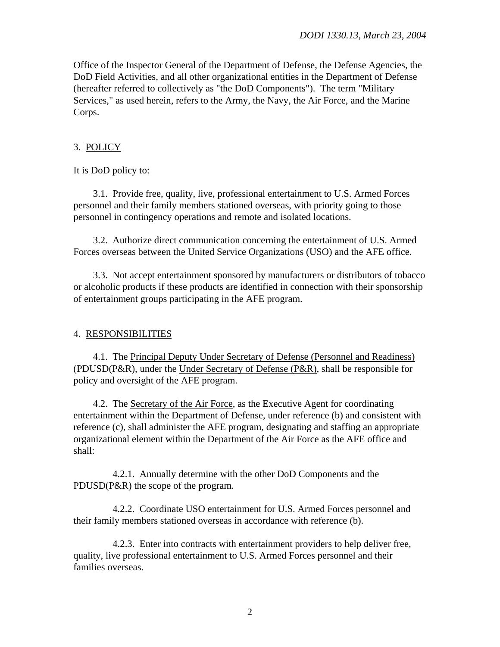Office of the Inspector General of the Department of Defense, the Defense Agencies, the DoD Field Activities, and all other organizational entities in the Department of Defense (hereafter referred to collectively as "the DoD Components"). The term "Military Services," as used herein, refers to the Army, the Navy, the Air Force, and the Marine Corps.

## 3. POLICY

It is DoD policy to:

3.1. Provide free, quality, live, professional entertainment to U.S. Armed Forces personnel and their family members stationed overseas, with priority going to those personnel in contingency operations and remote and isolated locations.

3.2. Authorize direct communication concerning the entertainment of U.S. Armed Forces overseas between the United Service Organizations (USO) and the AFE office.

3.3. Not accept entertainment sponsored by manufacturers or distributors of tobacco or alcoholic products if these products are identified in connection with their sponsorship of entertainment groups participating in the AFE program.

#### 4. RESPONSIBILITIES

4.1. The Principal Deputy Under Secretary of Defense (Personnel and Readiness) (PDUSD(P&R), under the Under Secretary of Defense (P&R), shall be responsible for policy and oversight of the AFE program.

4.2. The Secretary of the Air Force, as the Executive Agent for coordinating entertainment within the Department of Defense, under reference (b) and consistent with reference (c), shall administer the AFE program, designating and staffing an appropriate organizational element within the Department of the Air Force as the AFE office and shall:

4.2.1. Annually determine with the other DoD Components and the PDUSD(P&R) the scope of the program.

4.2.2. Coordinate USO entertainment for U.S. Armed Forces personnel and their family members stationed overseas in accordance with reference (b).

4.2.3. Enter into contracts with entertainment providers to help deliver free, quality, live professional entertainment to U.S. Armed Forces personnel and their families overseas.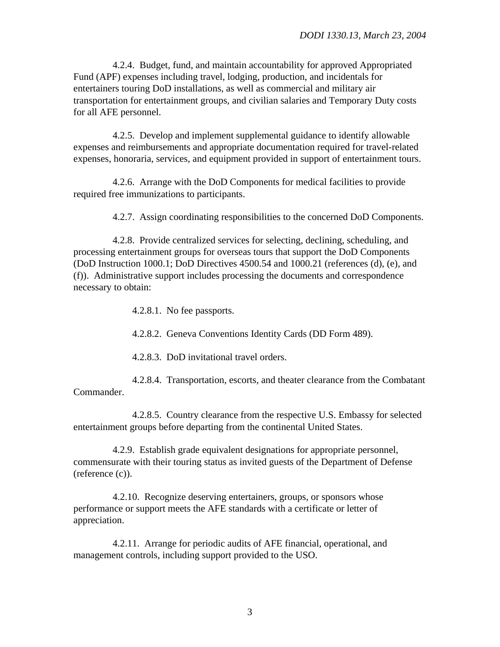4.2.4. Budget, fund, and maintain accountability for approved Appropriated Fund (APF) expenses including travel, lodging, production, and incidentals for entertainers touring DoD installations, as well as commercial and military air transportation for entertainment groups, and civilian salaries and Temporary Duty costs for all AFE personnel.

4.2.5. Develop and implement supplemental guidance to identify allowable expenses and reimbursements and appropriate documentation required for travel-related expenses, honoraria, services, and equipment provided in support of entertainment tours.

4.2.6. Arrange with the DoD Components for medical facilities to provide required free immunizations to participants.

4.2.7. Assign coordinating responsibilities to the concerned DoD Components.

4.2.8. Provide centralized services for selecting, declining, scheduling, and processing entertainment groups for overseas tours that support the DoD Components (DoD Instruction 1000.1; DoD Directives 4500.54 and 1000.21 (references (d), (e), and (f)). Administrative support includes processing the documents and correspondence necessary to obtain:

4.2.8.1. No fee passports.

4.2.8.2. Geneva Conventions Identity Cards (DD Form 489).

4.2.8.3. DoD invitational travel orders.

4.2.8.4. Transportation, escorts, and theater clearance from the Combatant Commander.

4.2.8.5. Country clearance from the respective U.S. Embassy for selected entertainment groups before departing from the continental United States.

4.2.9. Establish grade equivalent designations for appropriate personnel, commensurate with their touring status as invited guests of the Department of Defense (reference (c)).

4.2.10. Recognize deserving entertainers, groups, or sponsors whose performance or support meets the AFE standards with a certificate or letter of appreciation.

4.2.11. Arrange for periodic audits of AFE financial, operational, and management controls, including support provided to the USO.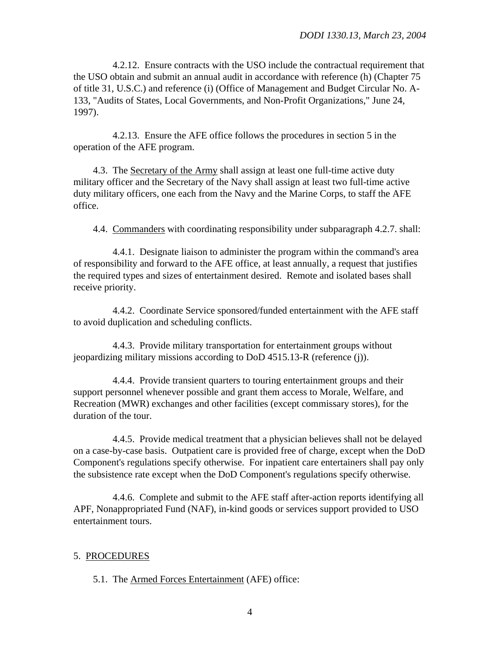4.2.12. Ensure contracts with the USO include the contractual requirement that the USO obtain and submit an annual audit in accordance with reference (h) (Chapter 75 of title 31, U.S.C.) and reference (i) (Office of Management and Budget Circular No. A-133, "Audits of States, Local Governments, and Non-Profit Organizations," June 24, 1997).

4.2.13. Ensure the AFE office follows the procedures in section 5 in the operation of the AFE program.

4.3. The Secretary of the Army shall assign at least one full-time active duty military officer and the Secretary of the Navy shall assign at least two full-time active duty military officers, one each from the Navy and the Marine Corps, to staff the AFE office.

4.4. Commanders with coordinating responsibility under subparagraph 4.2.7. shall:

4.4.1. Designate liaison to administer the program within the command's area of responsibility and forward to the AFE office, at least annually, a request that justifies the required types and sizes of entertainment desired. Remote and isolated bases shall receive priority.

4.4.2. Coordinate Service sponsored/funded entertainment with the AFE staff to avoid duplication and scheduling conflicts.

4.4.3. Provide military transportation for entertainment groups without jeopardizing military missions according to DoD 4515.13-R (reference (j)).

4.4.4. Provide transient quarters to touring entertainment groups and their support personnel whenever possible and grant them access to Morale, Welfare, and Recreation (MWR) exchanges and other facilities (except commissary stores), for the duration of the tour.

4.4.5. Provide medical treatment that a physician believes shall not be delayed on a case-by-case basis. Outpatient care is provided free of charge, except when the DoD Component's regulations specify otherwise. For inpatient care entertainers shall pay only the subsistence rate except when the DoD Component's regulations specify otherwise.

4.4.6. Complete and submit to the AFE staff after-action reports identifying all APF, Nonappropriated Fund (NAF), in-kind goods or services support provided to USO entertainment tours.

## 5. PROCEDURES

5.1. The Armed Forces Entertainment (AFE) office: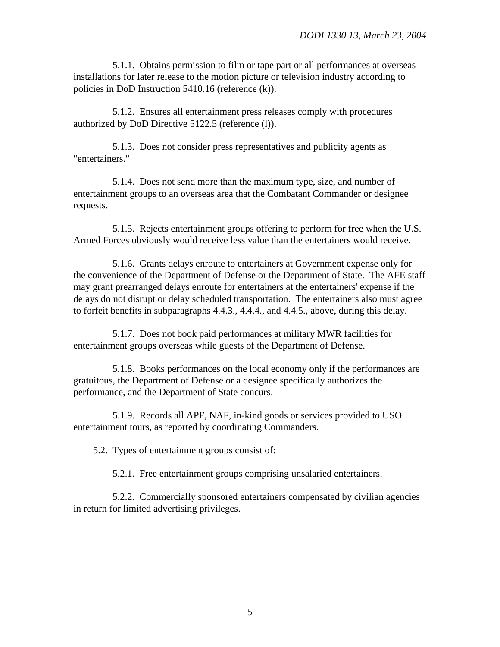5.1.1. Obtains permission to film or tape part or all performances at overseas installations for later release to the motion picture or television industry according to policies in DoD Instruction 5410.16 (reference (k)).

5.1.2. Ensures all entertainment press releases comply with procedures authorized by DoD Directive 5122.5 (reference (l)).

5.1.3. Does not consider press representatives and publicity agents as "entertainers."

5.1.4. Does not send more than the maximum type, size, and number of entertainment groups to an overseas area that the Combatant Commander or designee requests.

5.1.5. Rejects entertainment groups offering to perform for free when the U.S. Armed Forces obviously would receive less value than the entertainers would receive.

5.1.6. Grants delays enroute to entertainers at Government expense only for the convenience of the Department of Defense or the Department of State. The AFE staff may grant prearranged delays enroute for entertainers at the entertainers' expense if the delays do not disrupt or delay scheduled transportation. The entertainers also must agree to forfeit benefits in subparagraphs 4.4.3., 4.4.4., and 4.4.5., above, during this delay.

5.1.7. Does not book paid performances at military MWR facilities for entertainment groups overseas while guests of the Department of Defense.

5.1.8. Books performances on the local economy only if the performances are gratuitous, the Department of Defense or a designee specifically authorizes the performance, and the Department of State concurs.

5.1.9. Records all APF, NAF, in-kind goods or services provided to USO entertainment tours, as reported by coordinating Commanders.

5.2. Types of entertainment groups consist of:

5.2.1. Free entertainment groups comprising unsalaried entertainers.

5.2.2. Commercially sponsored entertainers compensated by civilian agencies in return for limited advertising privileges.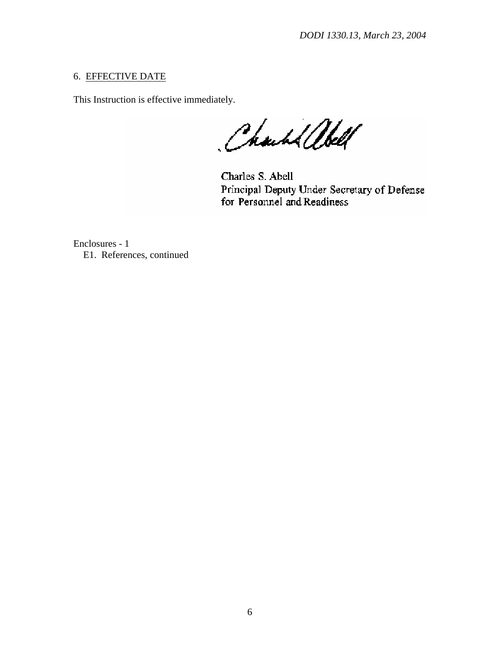## 6. EFFECTIVE DATE

This Instruction is effective immediately.

Charl albell

Charles S. Abell Principal Deputy Under Secretary of Defense for Personnel and Readiness

Enclosures - 1 E1. References, continued